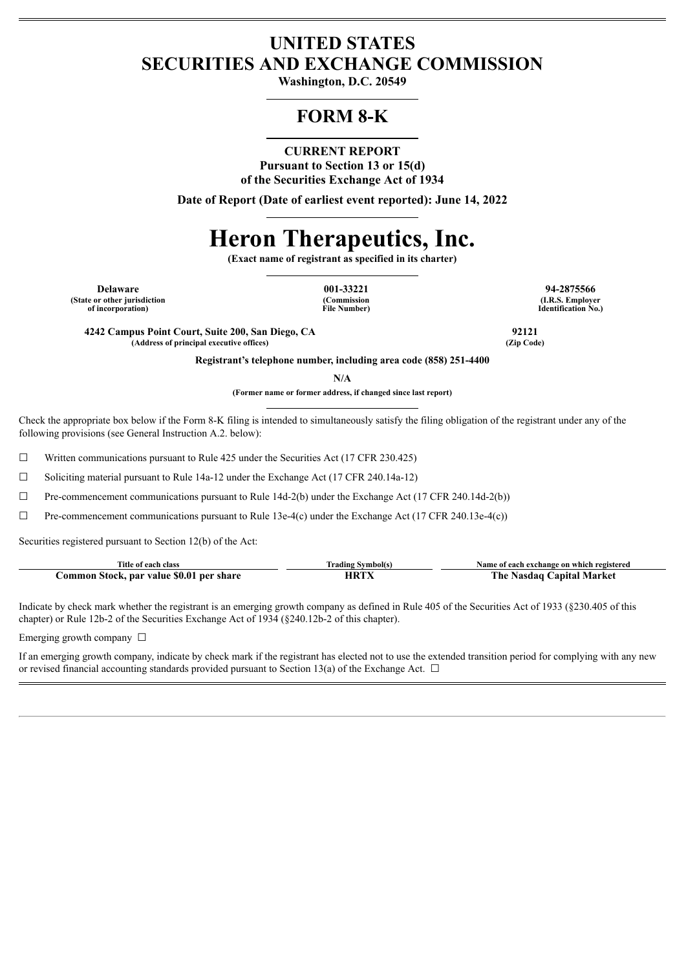# **UNITED STATES SECURITIES AND EXCHANGE COMMISSION**

**Washington, D.C. 20549**

# **FORM 8-K**

# **CURRENT REPORT**

**Pursuant to Section 13 or 15(d) of the Securities Exchange Act of 1934**

**Date of Report (Date of earliest event reported): June 14, 2022**

# **Heron Therapeutics, Inc.**

**(Exact name of registrant as specified in its charter)**

**(State or other jurisdiction of incorporation)**

**(Commission File Number)**

**Delaware 001-33221 94-2875566 (I.R.S. Employer Identification No.)**

**4242 Campus Point Court, Suite 200, San Diego, CA 92121 (Address of principal executive offices) (Zip Code)**

**Registrant's telephone number, including area code (858) 251-4400**

**N/A**

**(Former name or former address, if changed since last report)**

Check the appropriate box below if the Form 8-K filing is intended to simultaneously satisfy the filing obligation of the registrant under any of the following provisions (see General Instruction A.2. below):

 $\Box$  Written communications pursuant to Rule 425 under the Securities Act (17 CFR 230.425)

☐ Soliciting material pursuant to Rule 14a-12 under the Exchange Act (17 CFR 240.14a-12)

 $\Box$  Pre-commencement communications pursuant to Rule 14d-2(b) under the Exchange Act (17 CFR 240.14d-2(b))

 $\Box$  Pre-commencement communications pursuant to Rule 13e-4(c) under the Exchange Act (17 CFR 240.13e-4(c))

Securities registered pursuant to Section 12(b) of the Act:

| Title of each class                      | Trading Symbol(s. | Name of each exchange on which registered |
|------------------------------------------|-------------------|-------------------------------------------|
| Common Stock, par value \$0.01 per share | HRTY              | The Nasdaq Capital Market                 |

Indicate by check mark whether the registrant is an emerging growth company as defined in Rule 405 of the Securities Act of 1933 (§230.405 of this chapter) or Rule 12b-2 of the Securities Exchange Act of 1934 (§240.12b-2 of this chapter).

Emerging growth company  $\Box$ 

If an emerging growth company, indicate by check mark if the registrant has elected not to use the extended transition period for complying with any new or revised financial accounting standards provided pursuant to Section 13(a) of the Exchange Act.  $\Box$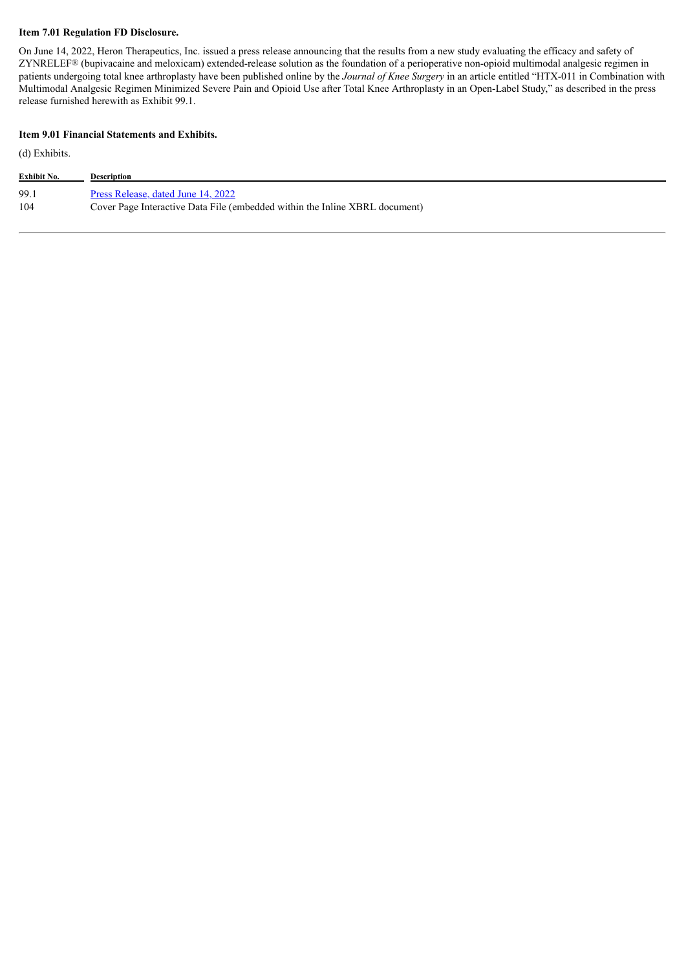#### **Item 7.01 Regulation FD Disclosure.**

On June 14, 2022, Heron Therapeutics, Inc. issued a press release announcing that the results from a new study evaluating the efficacy and safety of ZYNRELEF® (bupivacaine and meloxicam) extended-release solution as the foundation of a perioperative non-opioid multimodal analgesic regimen in patients undergoing total knee arthroplasty have been published online by the *Journal of Knee Surgery* in an article entitled "HTX-011 in Combination with Multimodal Analgesic Regimen Minimized Severe Pain and Opioid Use after Total Knee Arthroplasty in an Open-Label Study," as described in the press release furnished herewith as Exhibit 99.1.

#### **Item 9.01 Financial Statements and Exhibits.**

(d) Exhibits.

| Exhibit No. | Description                                                                 |
|-------------|-----------------------------------------------------------------------------|
| 99.1        | Press Release, dated June 14, 2022                                          |
| 104         | Cover Page Interactive Data File (embedded within the Inline XBRL document) |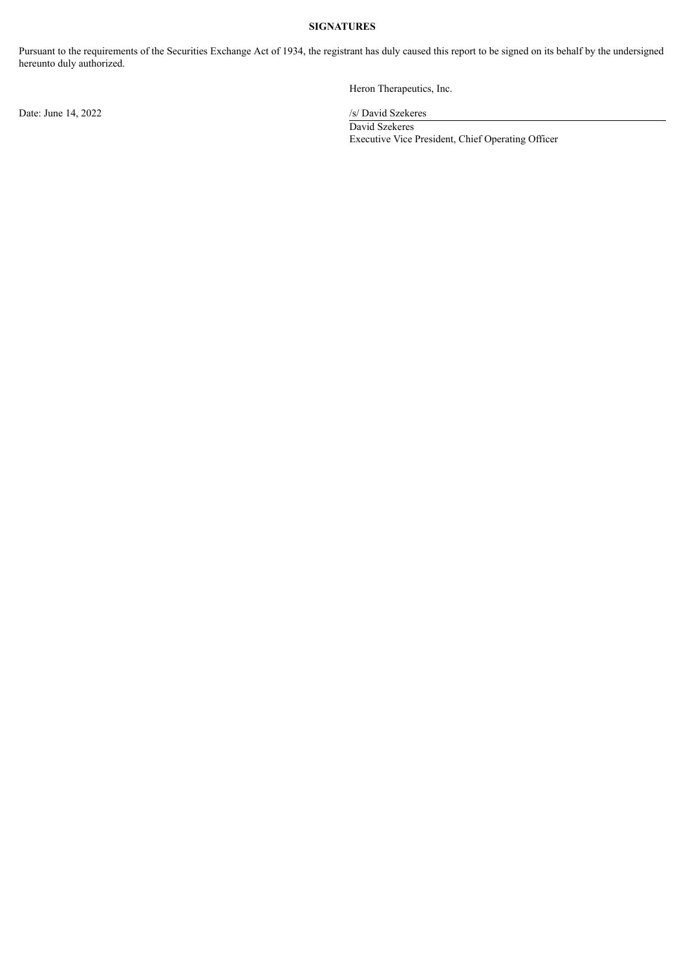#### **SIGNATURES**

Pursuant to the requirements of the Securities Exchange Act of 1934, the registrant has duly caused this report to be signed on its behalf by the undersigned hereunto duly authorized.

Date: June 14, 2022 /s/ David Szekeres

Heron Therapeutics, Inc.

David Szekeres Executive Vice President, Chief Operating Officer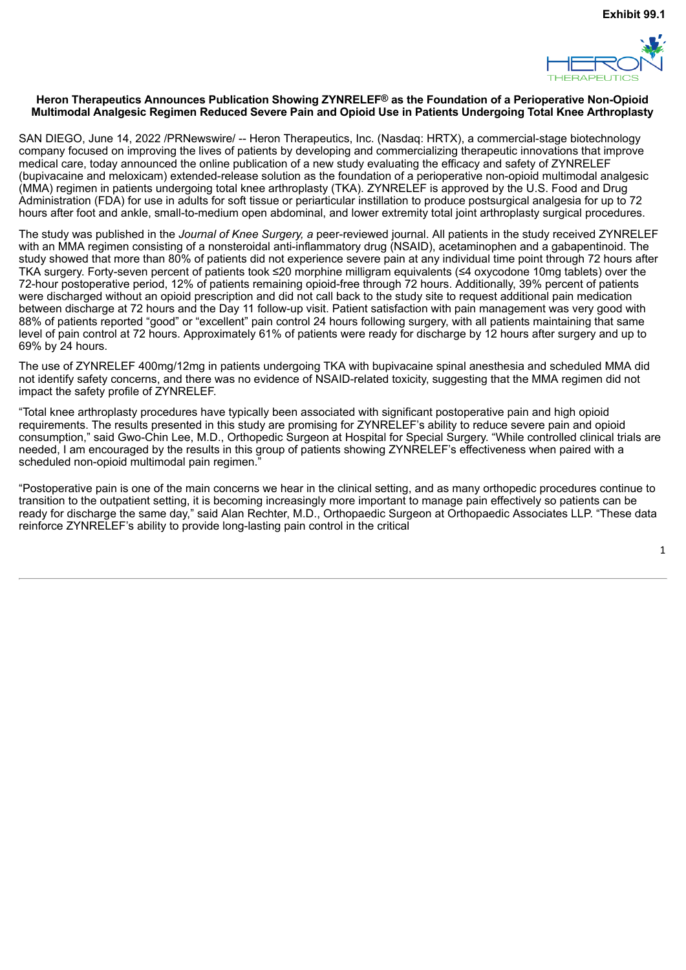

#### <span id="page-3-0"></span>**Heron Therapeutics Announces Publication Showing ZYNRELEF® as the Foundation of a Perioperative Non-Opioid Multimodal Analgesic Regimen Reduced Severe Pain and Opioid Use in Patients Undergoing Total Knee Arthroplasty**

SAN DIEGO, June 14, 2022 /PRNewswire/ -- Heron Therapeutics, Inc. (Nasdaq: HRTX), a commercial-stage biotechnology company focused on improving the lives of patients by developing and commercializing therapeutic innovations that improve medical care, today announced the online publication of a new study evaluating the efficacy and safety of ZYNRELEF (bupivacaine and meloxicam) extended-release solution as the foundation of a perioperative non-opioid multimodal analgesic (MMA) regimen in patients undergoing total knee arthroplasty (TKA). ZYNRELEF is approved by the U.S. Food and Drug Administration (FDA) for use in adults for soft tissue or periarticular instillation to produce postsurgical analgesia for up to 72 hours after foot and ankle, small-to-medium open abdominal, and lower extremity total joint arthroplasty surgical procedures.

The study was published in the *Journal of Knee Surgery, a* peer-reviewed journal. All patients in the study received ZYNRELEF with an MMA regimen consisting of a nonsteroidal anti-inflammatory drug (NSAID), acetaminophen and a gabapentinoid. The study showed that more than 80% of patients did not experience severe pain at any individual time point through 72 hours after TKA surgery. Forty-seven percent of patients took ≤20 morphine milligram equivalents (≤4 oxycodone 10mg tablets) over the 72-hour postoperative period, 12% of patients remaining opioid-free through 72 hours. Additionally, 39% percent of patients were discharged without an opioid prescription and did not call back to the study site to request additional pain medication between discharge at 72 hours and the Day 11 follow-up visit. Patient satisfaction with pain management was very good with 88% of patients reported "good" or "excellent" pain control 24 hours following surgery, with all patients maintaining that same level of pain control at 72 hours. Approximately 61% of patients were ready for discharge by 12 hours after surgery and up to 69% by 24 hours.

The use of ZYNRELEF 400mg/12mg in patients undergoing TKA with bupivacaine spinal anesthesia and scheduled MMA did not identify safety concerns, and there was no evidence of NSAID-related toxicity, suggesting that the MMA regimen did not impact the safety profile of ZYNRELEF.

"Total knee arthroplasty procedures have typically been associated with significant postoperative pain and high opioid requirements. The results presented in this study are promising for ZYNRELEF's ability to reduce severe pain and opioid consumption," said Gwo-Chin Lee, M.D., Orthopedic Surgeon at Hospital for Special Surgery. "While controlled clinical trials are needed, I am encouraged by the results in this group of patients showing ZYNRELEF's effectiveness when paired with a scheduled non-opioid multimodal pain regimen.'

"Postoperative pain is one of the main concerns we hear in the clinical setting, and as many orthopedic procedures continue to transition to the outpatient setting, it is becoming increasingly more important to manage pain effectively so patients can be ready for discharge the same day," said Alan Rechter, M.D., Orthopaedic Surgeon at Orthopaedic Associates LLP. "These data reinforce ZYNRELEF's ability to provide long-lasting pain control in the critical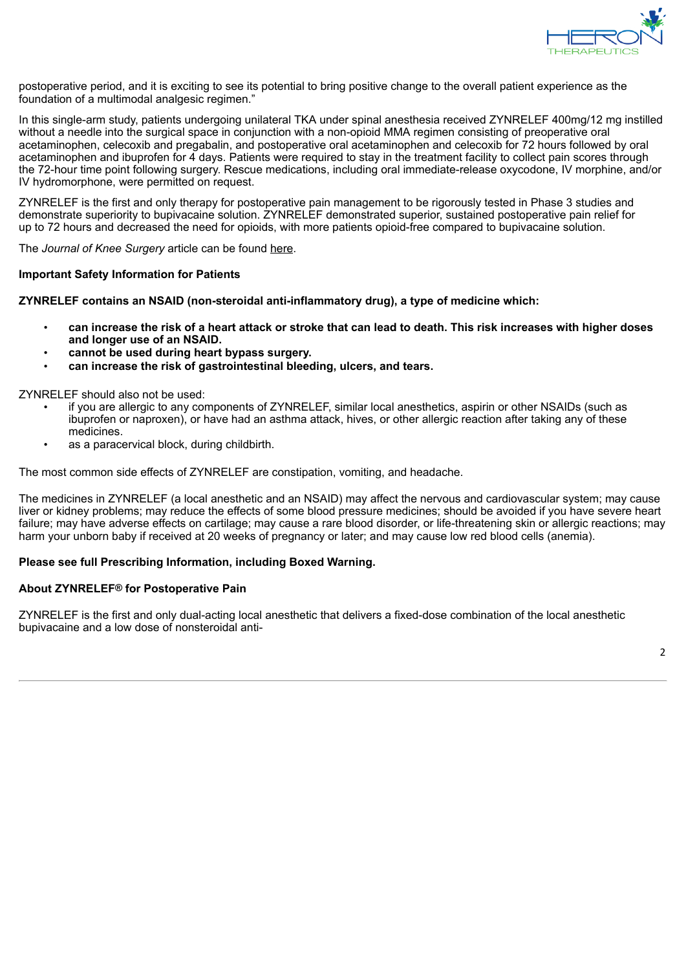

postoperative period, and it is exciting to see its potential to bring positive change to the overall patient experience as the foundation of a multimodal analgesic regimen."

In this single-arm study, patients undergoing unilateral TKA under spinal anesthesia received ZYNRELEF 400mg/12 mg instilled without a needle into the surgical space in conjunction with a non-opioid MMA regimen consisting of preoperative oral acetaminophen, celecoxib and pregabalin, and postoperative oral acetaminophen and celecoxib for 72 hours followed by oral acetaminophen and ibuprofen for 4 days. Patients were required to stay in the treatment facility to collect pain scores through the 72-hour time point following surgery. Rescue medications, including oral immediate-release oxycodone, IV morphine, and/or IV hydromorphone, were permitted on request.

ZYNRELEF is the first and only therapy for postoperative pain management to be rigorously tested in Phase 3 studies and demonstrate superiority to bupivacaine solution. ZYNRELEF demonstrated superior, sustained postoperative pain relief for up to 72 hours and decreased the need for opioids, with more patients opioid-free compared to bupivacaine solution.

The *Journal of Knee Surgery* article can be found here.

# **Important Safety Information for Patients**

**ZYNRELEF contains an NSAID (non-steroidal anti-inflammatory drug), a type of medicine which:**

- can increase the risk of a heart attack or stroke that can lead to death. This risk increases with higher doses **and longer use of an NSAID.**
- **cannot be used during heart bypass surgery.**
- **can increase the risk of gastrointestinal bleeding, ulcers, and tears.**

ZYNRELEF should also not be used:

- if you are allergic to any components of ZYNRELEF, similar local anesthetics, aspirin or other NSAIDs (such as ibuprofen or naproxen), or have had an asthma attack, hives, or other allergic reaction after taking any of these medicines.
- as a paracervical block, during childbirth.

The most common side effects of ZYNRELEF are constipation, vomiting, and headache.

The medicines in ZYNRELEF (a local anesthetic and an NSAID) may affect the nervous and cardiovascular system; may cause liver or kidney problems; may reduce the effects of some blood pressure medicines; should be avoided if you have severe heart failure; may have adverse effects on cartilage; may cause a rare blood disorder, or life-threatening skin or allergic reactions; may harm your unborn baby if received at 20 weeks of pregnancy or later; and may cause low red blood cells (anemia).

# **Please see full Prescribing Information, including Boxed Warning.**

# **About ZYNRELEF® for Postoperative Pain**

ZYNRELEF is the first and only dual-acting local anesthetic that delivers a fixed-dose combination of the local anesthetic bupivacaine and a low dose of nonsteroidal anti-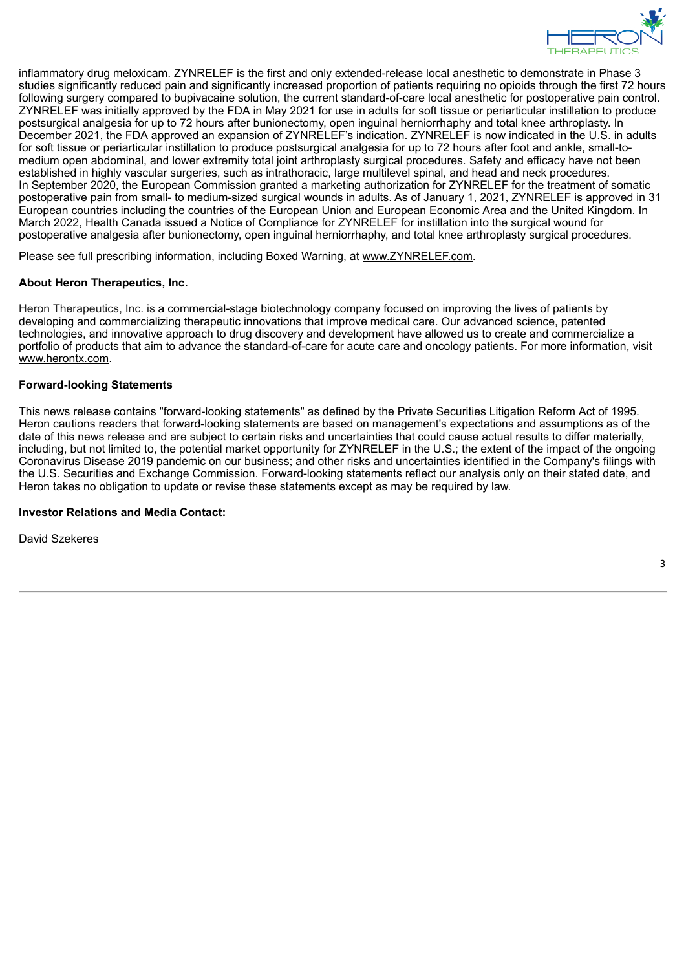

inflammatory drug meloxicam. ZYNRELEF is the first and only extended-release local anesthetic to demonstrate in Phase 3 studies significantly reduced pain and significantly increased proportion of patients requiring no opioids through the first 72 hours following surgery compared to bupivacaine solution, the current standard-of-care local anesthetic for postoperative pain control. ZYNRELEF was initially approved by the FDA in May 2021 for use in adults for soft tissue or periarticular instillation to produce postsurgical analgesia for up to 72 hours after bunionectomy, open inguinal herniorrhaphy and total knee arthroplasty. In December 2021, the FDA approved an expansion of ZYNRELEF's indication. ZYNRELEF is now indicated in the U.S. in adults for soft tissue or periarticular instillation to produce postsurgical analgesia for up to 72 hours after foot and ankle, small-tomedium open abdominal, and lower extremity total joint arthroplasty surgical procedures. Safety and efficacy have not been established in highly vascular surgeries, such as intrathoracic, large multilevel spinal, and head and neck procedures. In September 2020, the European Commission granted a marketing authorization for ZYNRELEF for the treatment of somatic postoperative pain from small- to medium-sized surgical wounds in adults. As of January 1, 2021, ZYNRELEF is approved in 31 European countries including the countries of the European Union and European Economic Area and the United Kingdom. In March 2022, Health Canada issued a Notice of Compliance for ZYNRELEF for instillation into the surgical wound for postoperative analgesia after bunionectomy, open inguinal herniorrhaphy, and total knee arthroplasty surgical procedures.

Please see full prescribing information, including Boxed Warning, at www.ZYNRELEF.com.

# **About Heron Therapeutics, Inc.**

Heron Therapeutics, Inc. is a commercial-stage biotechnology company focused on improving the lives of patients by developing and commercializing therapeutic innovations that improve medical care. Our advanced science, patented technologies, and innovative approach to drug discovery and development have allowed us to create and commercialize a portfolio of products that aim to advance the standard-of-care for acute care and oncology patients. For more information, visit www.herontx.com.

# **Forward-looking Statements**

This news release contains "forward-looking statements" as defined by the Private Securities Litigation Reform Act of 1995. Heron cautions readers that forward-looking statements are based on management's expectations and assumptions as of the date of this news release and are subject to certain risks and uncertainties that could cause actual results to differ materially, including, but not limited to, the potential market opportunity for ZYNRELEF in the U.S.; the extent of the impact of the ongoing Coronavirus Disease 2019 pandemic on our business; and other risks and uncertainties identified in the Company's filings with the U.S. Securities and Exchange Commission. Forward-looking statements reflect our analysis only on their stated date, and Heron takes no obligation to update or revise these statements except as may be required by law.

# **Investor Relations and Media Contact:**

David Szekeres